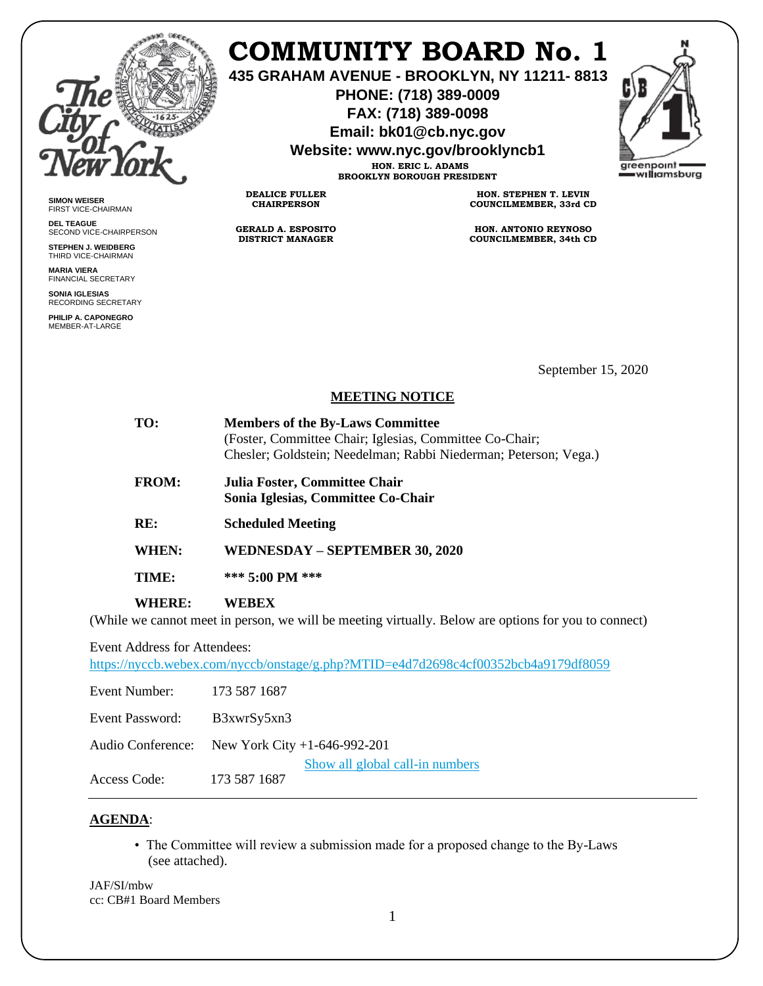

# **COMMUNITY BOARD No. 1**

**435 GRAHAM AVENUE - BROOKLYN, NY 11211- 8813**

**PHONE: (718) 389-0009 FAX: (718) 389-0098**

**Email: bk01@cb.nyc.gov**

**Website: www.nyc.gov/brooklyncb1**

**HON. ERIC L. ADAMS BROOKLYN BOROUGH PRESIDENT**

**DEALICE FULLER CHAIRPERSON**

**GERALD A. ESPOSITO DISTRICT MANAGER**

**HON. STEPHEN T. LEVIN COUNCILMEMBER, 33rd CD**

**HON. ANTONIO REYNOSO COUNCILMEMBER, 34th CD**

**SIMON WEISER** FIRST VICE-CHAIRMAN

**DEL TEAGUE** SECOND VICE-CHAIRPERSON

**STEPHEN J. WEIDBERG** THIRD VICE-CHAIRMAN

**MARIA VIERA** FINANCIAL SECRETARY

**SONIA IGLESIAS** RECORDING SECRETARY

**PHILIP A. CAPONEGRO** MEMBER-AT-LARGE

September 15, 2020

#### **MEETING NOTICE**

| TO:                                 | <b>Members of the By-Laws Committee</b>                                                              |
|-------------------------------------|------------------------------------------------------------------------------------------------------|
|                                     | (Foster, Committee Chair; Iglesias, Committee Co-Chair;                                              |
|                                     | Chesler; Goldstein; Needelman; Rabbi Niederman; Peterson; Vega.)                                     |
| <b>FROM:</b>                        | Julia Foster, Committee Chair                                                                        |
|                                     | Sonia Iglesias, Committee Co-Chair                                                                   |
| RE:                                 | <b>Scheduled Meeting</b>                                                                             |
| WHEN:                               | WEDNESDAY – SEPTEMBER 30, 2020                                                                       |
| TIME:                               | *** 5:00 PM ***                                                                                      |
| <b>WHERE:</b>                       | <b>WEBEX</b>                                                                                         |
|                                     | (While we cannot meet in person, we will be meeting virtually. Below are options for you to connect) |
| <b>Event Address for Attendees:</b> |                                                                                                      |

<https://nyccb.webex.com/nyccb/onstage/g.php?MTID=e4d7d2698c4cf00352bcb4a9179df8059>

| Event Number: 173 587 1687 |                                                 |
|----------------------------|-------------------------------------------------|
| Event Password:            | B3xwrSy5xn3                                     |
|                            | Audio Conference: New York City +1-646-992-201  |
| Access Code:               | Show all global call-in numbers<br>173 587 1687 |

### **AGENDA**:

• The Committee will review a submission made for a proposed change to the By-Laws (see attached).

JAF/SI/mbw cc: CB#1 Board Members

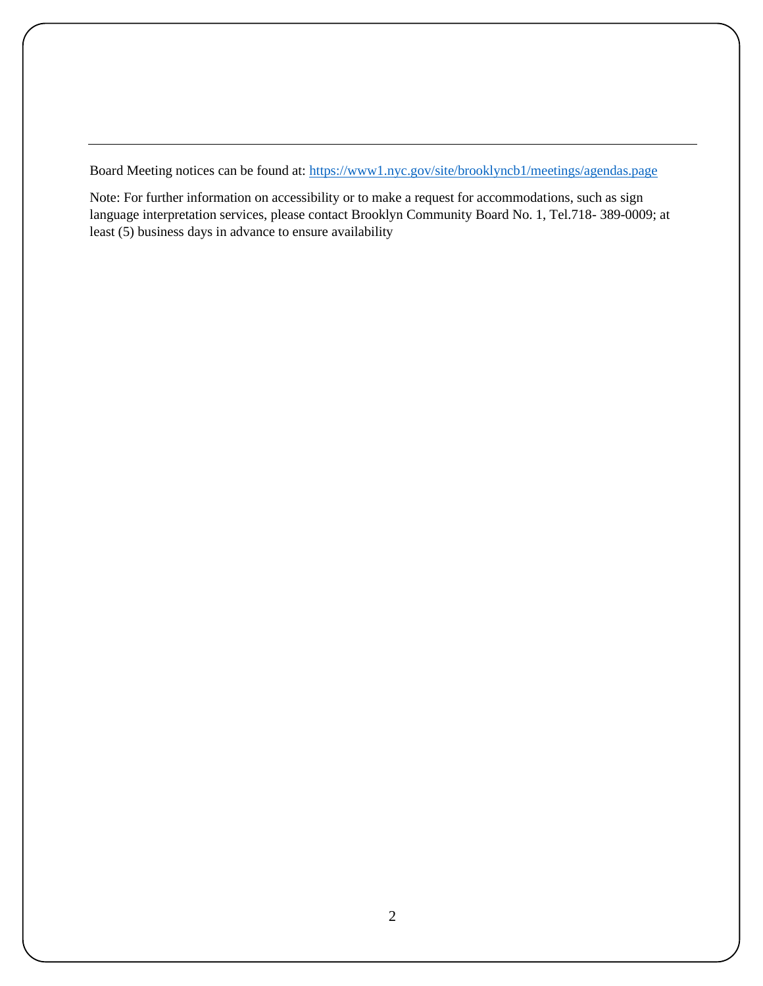Board Meeting notices can be found at:<https://www1.nyc.gov/site/brooklyncb1/meetings/agendas.page>

Note: For further information on accessibility or to make a request for accommodations, such as sign language interpretation services, please contact Brooklyn Community Board No. 1, Tel.718- 389-0009; at least (5) business days in advance to ensure availability